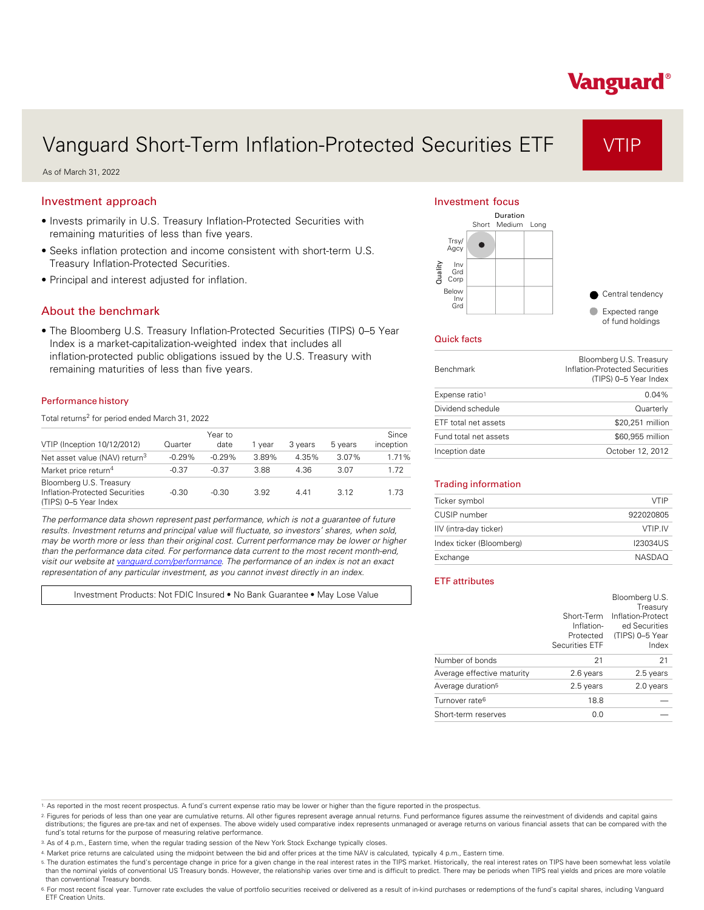# Vanguard®

## Vanguard Short-Term Inflation-Protected Securities ETF VTIP

As of March 31, 2022

#### Investment approach

- Invests primarily in U.S. Treasury Inflation-Protected Securities with remaining maturities of less than five years.
- Seeks inflation protection and income consistent with short-term U.S. Treasury Inflation-Protected Securities.
- Principal and interest adjusted for inflation.

#### About the benchmark

• The Bloomberg U.S. Treasury Inflation-Protected Securities (TIPS) 0–5 Year Index is a market-capitalization-weighted index that includes all inflation-protected public obligations issued by the U.S. Treasury with remaining maturities of less than five years.

#### Performance history

Total returns<sup>2</sup> for period ended March 31, 2022

| VTIP (Inception 10/12/2012)                                                        | Quarter  | Year to<br>date | 1 vear | 3 years | 5 years | Since<br>inception |
|------------------------------------------------------------------------------------|----------|-----------------|--------|---------|---------|--------------------|
| Net asset value (NAV) return <sup>3</sup>                                          | $-0.29%$ | $-0.29%$        | 3.89%  | 4.35%   | 3.07%   | 1.71%              |
| Market price return <sup>4</sup>                                                   | $-0.37$  | $-0.37$         | 3.88   | 4.36    | 3.07    | 1.72               |
| Bloomberg U.S. Treasury<br>Inflation-Protected Securities<br>(TIPS) 0-5 Year Index | $-0.30$  | $-0.30$         | 3.92   | 441     | 3.12    | 1.73               |

*The performance data shown represent past performance, which is not a guarantee of future results. Investment returns and principal value will fluctuate, so investors' shares, when sold, may be worth more or less than their original cost. Current performance may be lower or higher than the performance data cited. For performance data current to the most recent month-end, visit our website at [vanguard.com/performance .](http://www.vanguard.com/performance) The performance of an index is not an exact representation of any particular investment, as you cannot invest directly in an index.* 

Investment Products: Not FDIC Insured • No Bank Guarantee • May Lose Value

#### Investment focus



#### Quick facts

| <b>Benchmark</b>           | Bloomberg U.S. Treasury<br>Inflation-Protected Securities<br>(TIPS) 0-5 Year Index |
|----------------------------|------------------------------------------------------------------------------------|
| Expense ratio <sup>1</sup> | 0.04%                                                                              |
| Dividend schedule          | Quarterly                                                                          |
| ETF total net assets       | \$20,251 million                                                                   |
| Fund total net assets      | \$60,955 million                                                                   |
| Inception date             | October 12, 2012                                                                   |
|                            |                                                                                    |

#### Trading information

| Ticker symbol            | <b>VTIP</b>   |
|--------------------------|---------------|
| CUSIP number             | 922020805     |
| IIV (intra-day ticker)   | VTIP IV       |
| Index ticker (Bloomberg) | 123034US      |
| Exchange                 | <b>NASDAO</b> |

#### ETF attributes

|                               | Short-Term<br>Inflation-<br>Protected<br><b>Securities ETF</b> | Bloomberg U.S.<br>Treasury<br>Inflation-Protect<br>ed Securities<br>(TIPS) 0-5 Year<br>Index |
|-------------------------------|----------------------------------------------------------------|----------------------------------------------------------------------------------------------|
| Number of bonds               | 21                                                             | 21                                                                                           |
| Average effective maturity    | 2.6 years                                                      | 2.5 years                                                                                    |
| Average duration <sup>5</sup> | 2.5 years                                                      | 2.0 years                                                                                    |
| Turnover rate <sup>6</sup>    | 18.8                                                           |                                                                                              |
| Short-term reserves           | 0.0                                                            |                                                                                              |

2. Figures for periods of less than one year are cumulative returns. All other figures represent average annual returns. Fund performance figures assume the reinvestment of dividends and capital gains distributions; the figures are pre-tax and net of expenses. The above widely used comparative index represents unmanaged or average returns on various financial assets that can be compared with the fund's total returns for the purpose of measuring relative performance.

4. Market price returns are calculated using the midpoint between the bid and offer prices at the time NAV is calculated, typically 4 p.m., Eastern time.

5. The duration estimates the fund's percentage change in price for a given change in the real interest rates in the TIPS market. Historically, the real interest rates on TIPS have been somewhat less volatile<br>than the nomi than conventional Treasury bonds.

6. For most recent fiscal year. Turnover rate excludes the value of portfolio securities received or delivered as a result of in-kind purchases or redemptions of the fund's capital shares, including Vanguard<br>ETF Creation U

<sup>1.</sup> As reported in the most recent prospectus. A fund's current expense ratio may be lower or higher than the figure reported in the prospectus.

<sup>3.</sup> As of 4 p.m., Eastern time, when the regular trading session of the New York Stock Exchange typically closes.